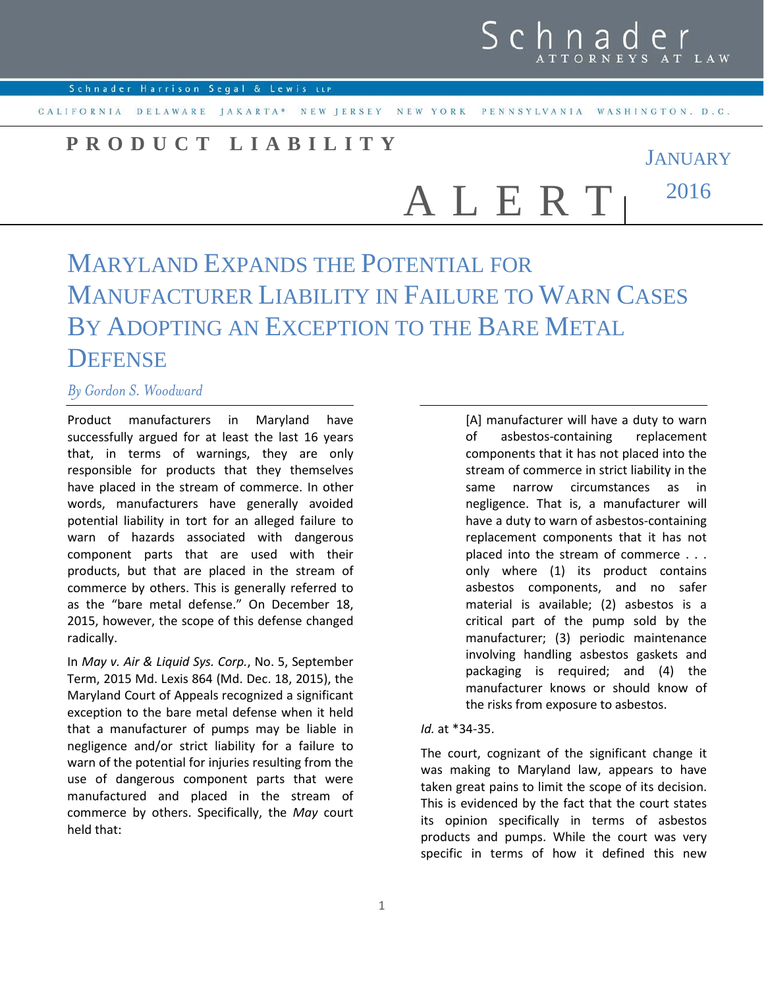CALIFORNIA DELAWARE JAKARTA\* NEW JERSEY NEW YORK PENNSYLVANIA WASHINGTON, D.C.

## **PRODUCT LIABILITY**

**JANUARY** 2016 A L E R T

## MARYLAND EXPANDS THE POTENTIAL FOR MANUFACTURER LIABILITY IN FAILURE TO WARN CASES BY ADOPTING AN EXCEPTION TO THE BARE METAL **DEFENSE**

## *By Gordon S. Woodward*

Product manufacturers in Maryland have successfully argued for at least the last 16 years that, in terms of warnings, they are only responsible for products that they themselves have placed in the stream of commerce. In other words, manufacturers have generally avoided potential liability in tort for an alleged failure to warn of hazards associated with dangerous component parts that are used with their products, but that are placed in the stream of commerce by others. This is generally referred to as the "bare metal defense." On December 18, 2015, however, the scope of this defense changed radically.

In *May v. Air & Liquid Sys. Corp.*, No. 5, September Term, 2015 Md. Lexis 864 (Md. Dec. 18, 2015), the Maryland Court of Appeals recognized a significant exception to the bare metal defense when it held that a manufacturer of pumps may be liable in negligence and/or strict liability for a failure to warn of the potential for injuries resulting from the use of dangerous component parts that were manufactured and placed in the stream of commerce by others. Specifically, the *May* court held that:

[A] manufacturer will have a duty to warn of asbestos-containing replacement components that it has not placed into the stream of commerce in strict liability in the same narrow circumstances as in negligence. That is, a manufacturer will have a duty to warn of asbestos-containing replacement components that it has not placed into the stream of commerce . . . only where (1) its product contains asbestos components, and no safer material is available; (2) asbestos is a critical part of the pump sold by the manufacturer; (3) periodic maintenance involving handling asbestos gaskets and packaging is required; and (4) the manufacturer knows or should know of the risks from exposure to asbestos.

## *Id.* at \*34-35.

The court, cognizant of the significant change it was making to Maryland law, appears to have taken great pains to limit the scope of its decision. This is evidenced by the fact that the court states its opinion specifically in terms of asbestos products and pumps. While the court was very specific in terms of how it defined this new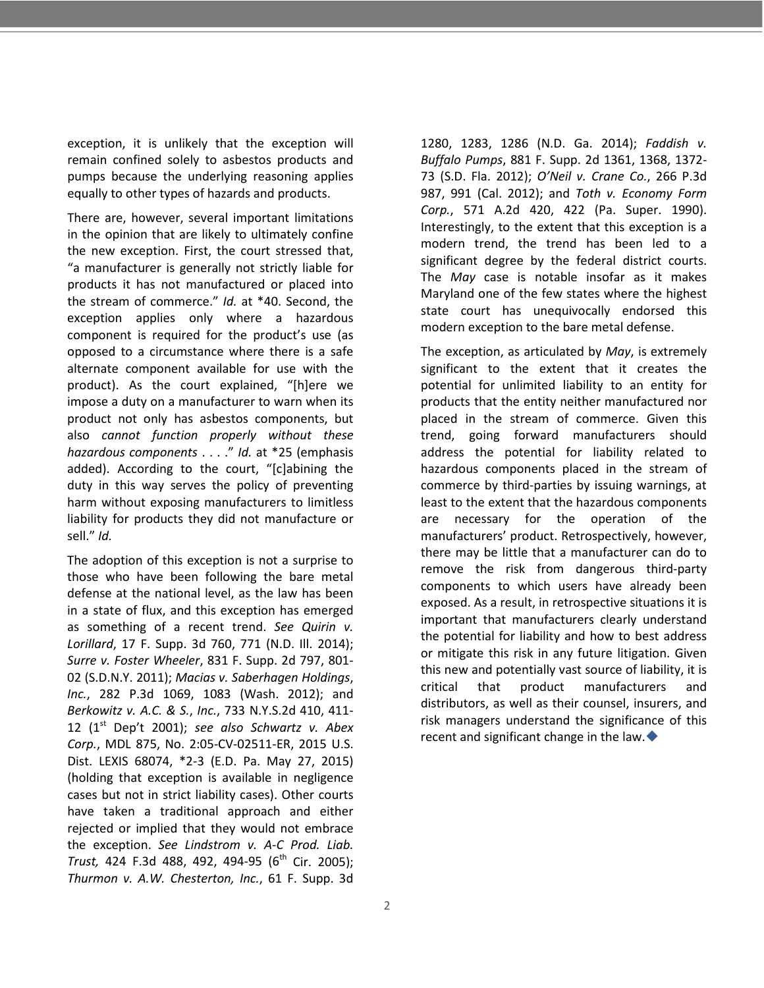exception, it is unlikely that the exception will remain confined solely to asbestos products and pumps because the underlying reasoning applies equally to other types of hazards and products.

There are, however, several important limitations in the opinion that are likely to ultimately confine the new exception. First, the court stressed that, "a manufacturer is generally not strictly liable for products it has not manufactured or placed into the stream of commerce." *Id.* at \*40. Second, the exception applies only where a hazardous component is required for the product's use (as opposed to a circumstance where there is a safe alternate component available for use with the product). As the court explained, "[h]ere we impose a duty on a manufacturer to warn when its product not only has asbestos components, but also *cannot function properly without these hazardous components* . . . ." *Id.* at \*25 (emphasis added). According to the court, "[c]abining the duty in this way serves the policy of preventing harm without exposing manufacturers to limitless liability for products they did not manufacture or sell." *Id.*

The adoption of this exception is not a surprise to those who have been following the bare metal defense at the national level, as the law has been in a state of flux, and this exception has emerged as something of a recent trend. *See Quirin v. Lorillard*, 17 F. Supp. 3d 760, 771 (N.D. Ill. 2014); *Surre v. Foster Wheeler*, 831 F. Supp. 2d 797, 801- 02 (S.D.N.Y. 2011); *Macias v. Saberhagen Holdings*, *Inc.*, 282 P.3d 1069, 1083 (Wash. 2012); and *Berkowitz v. A.C. & S.*, *Inc.*, 733 N.Y.S.2d 410, 411- 12  $(1<sup>st</sup>$  Dep't 2001); see also Schwartz v. Abex *Corp.*, MDL 875, No. 2:05-CV-02511-ER, 2015 U.S. Dist. LEXIS 68074, \*2-3 (E.D. Pa. May 27, 2015) (holding that exception is available in negligence cases but not in strict liability cases). Other courts have taken a traditional approach and either rejected or implied that they would not embrace the exception. *See Lindstrom v. A-C Prod. Liab. Trust,* 424 F.3d 488, 492, 494-95 (6<sup>th</sup> Cir. 2005); *Thurmon v. A.W. Chesterton, Inc.*, 61 F. Supp. 3d 1280, 1283, 1286 (N.D. Ga. 2014); *Faddish v. Buffalo Pumps*, 881 F. Supp. 2d 1361, 1368, 1372- 73 (S.D. Fla. 2012); *O'Neil v. Crane Co.*, 266 P.3d 987, 991 (Cal. 2012); and *Toth v. Economy Form Corp.*, 571 A.2d 420, 422 (Pa. Super. 1990). Interestingly, to the extent that this exception is a modern trend, the trend has been led to a significant degree by the federal district courts. The *May* case is notable insofar as it makes Maryland one of the few states where the highest state court has unequivocally endorsed this modern exception to the bare metal defense.

The exception, as articulated by *May*, is extremely significant to the extent that it creates the potential for unlimited liability to an entity for products that the entity neither manufactured nor placed in the stream of commerce. Given this trend, going forward manufacturers should address the potential for liability related to hazardous components placed in the stream of commerce by third-parties by issuing warnings, at least to the extent that the hazardous components are necessary for the operation of the manufacturers' product. Retrospectively, however, there may be little that a manufacturer can do to remove the risk from dangerous third-party components to which users have already been exposed. As a result, in retrospective situations it is important that manufacturers clearly understand the potential for liability and how to best address or mitigate this risk in any future litigation. Given this new and potentially vast source of liability, it is critical that product manufacturers and distributors, as well as their counsel, insurers, and risk managers understand the significance of this recent and significant change in the law.